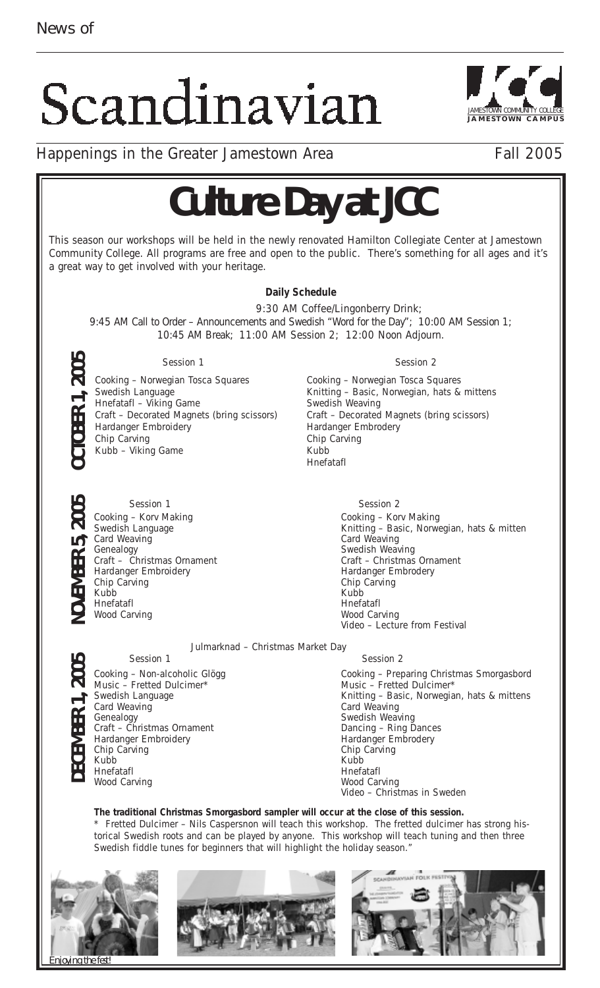## Scandinavian



Happenings in the Greater Jamestown Area Fall 2005

## **Culture Day at JCC**

This season our workshops will be held in the newly renovated Hamilton Collegiate Center at Jamestown Community College. All programs are free and open to the public. There's something for all ages and it's a great way to get involved with your heritage.



**The traditional Christmas Smorgasbord sampler will occur at the close of this session.** 

\* Fretted Dulcimer – Nils Caspersnon will teach this workshop. The fretted dulcimer has strong historical Swedish roots and can be played by anyone. This workshop will teach tuning and then three Swedish fiddle tunes for beginners that will highlight the holiday season."